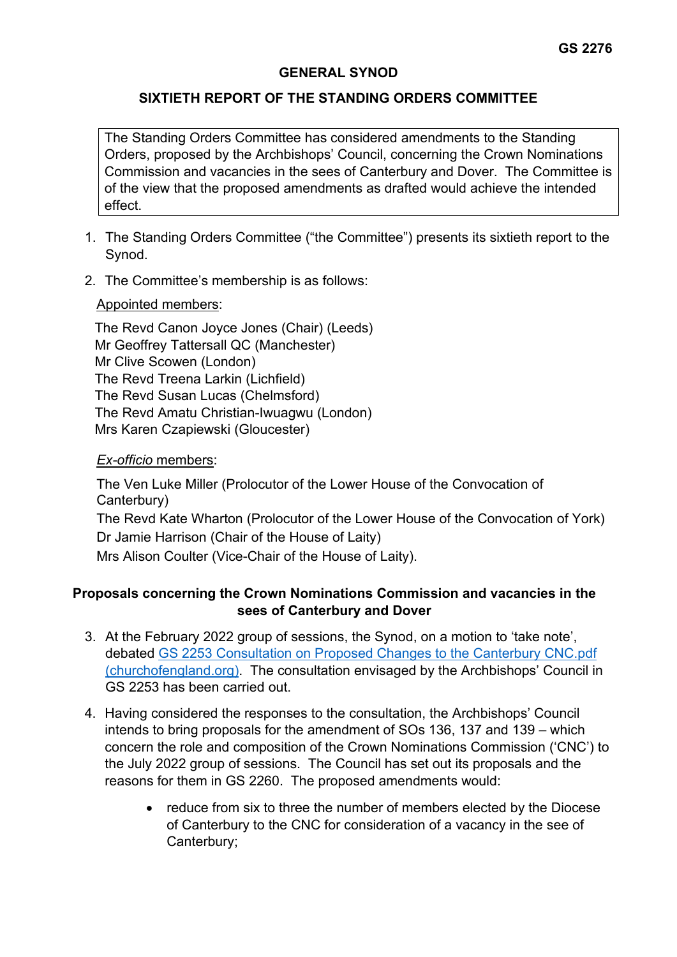# **GENERAL SYNOD**

# **SIXTIETH REPORT OF THE STANDING ORDERS COMMITTEE**

The Standing Orders Committee has considered amendments to the Standing Orders, proposed by the Archbishops' Council, concerning the Crown Nominations Commission and vacancies in the sees of Canterbury and Dover. The Committee is of the view that the proposed amendments as drafted would achieve the intended effect.

- 1. The Standing Orders Committee ("the Committee") presents its sixtieth report to the Synod.
- 2. The Committee's membership is as follows:

### Appointed members:

The Revd Canon Joyce Jones (Chair) (Leeds) Mr Geoffrey Tattersall QC (Manchester) Mr Clive Scowen (London) The Revd Treena Larkin (Lichfield) The Revd Susan Lucas (Chelmsford) The Revd Amatu Christian-Iwuagwu (London) Mrs Karen Czapiewski (Gloucester)

### *Ex-officio* members:

The Ven Luke Miller (Prolocutor of the Lower House of the Convocation of Canterbury) The Revd Kate Wharton (Prolocutor of the Lower House of the Convocation of York) Dr Jamie Harrison (Chair of the House of Laity) Mrs Alison Coulter (Vice-Chair of the House of Laity).

# **Proposals concerning the Crown Nominations Commission and vacancies in the sees of Canterbury and Dover**

- 3. At the February 2022 group of sessions, the Synod, on a motion to 'take note', debated [GS 2253 Consultation on Proposed Changes to the Canterbury CNC.pdf](https://www.churchofengland.org/sites/default/files/2022-01/GS%202253%20Consultation%20on%20Proposed%20Changes%20to%20the%20Canterbury%20CNC.pdf)  [\(churchofengland.org\).](https://www.churchofengland.org/sites/default/files/2022-01/GS%202253%20Consultation%20on%20Proposed%20Changes%20to%20the%20Canterbury%20CNC.pdf) The consultation envisaged by the Archbishops' Council in GS 2253 has been carried out.
- 4. Having considered the responses to the consultation, the Archbishops' Council intends to bring proposals for the amendment of SOs 136, 137 and 139 – which concern the role and composition of the Crown Nominations Commission ('CNC') to the July 2022 group of sessions. The Council has set out its proposals and the reasons for them in GS 2260. The proposed amendments would:
	- reduce from six to three the number of members elected by the Diocese of Canterbury to the CNC for consideration of a vacancy in the see of Canterbury;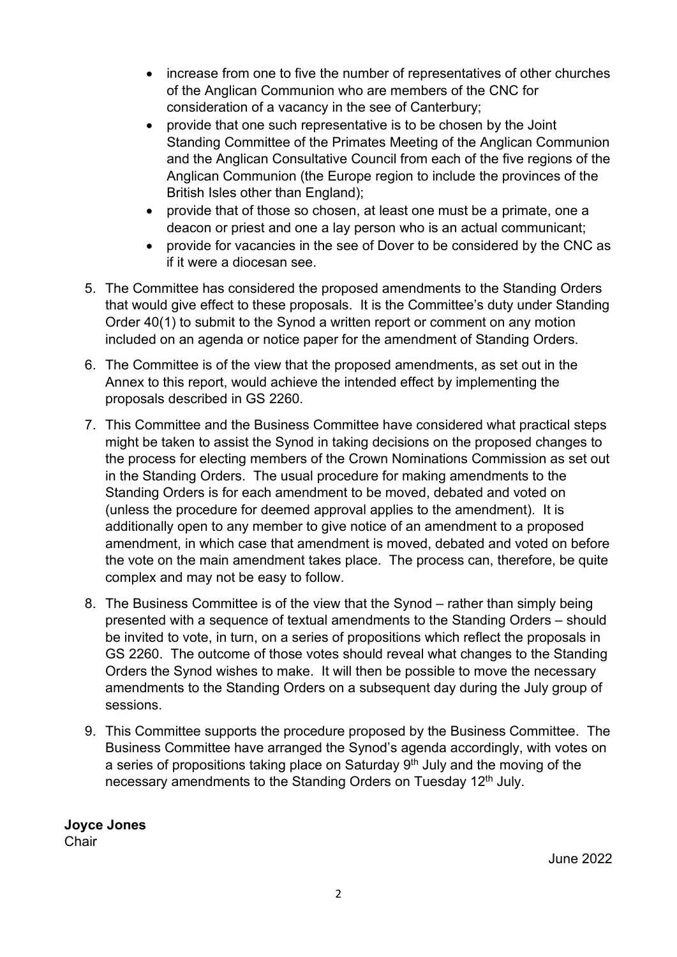- increase from one to five the number of representatives of other churches of the Anglican Communion who are members of the CNC for consideration of a vacancy in the see of Canterbury;
- provide that one such representative is to be chosen by the Joint Standing Committee of the Primates Meeting of the Anglican Communion and the Anglican Consultative Council from each of the five regions of the Anglican Communion (the Europe region to include the provinces of the British Isles other than England);
- provide that of those so chosen, at least one must be a primate, one a deacon or priest and one a lay person who is an actual communicant;
- provide for vacancies in the see of Dover to be considered by the CNC as if it were a diocesan see.
- 5. The Committee has considered the proposed amendments to the Standing Orders that would give effect to these proposals. It is the Committee's duty under Standing Order 40(1) to submit to the Synod a written report or comment on any motion included on an agenda or notice paper for the amendment of Standing Orders.
- 6. The Committee is of the view that the proposed amendments, as set out in the Annex to this report, would achieve the intended effect by implementing the proposals described in GS 2260.
- 7. This Committee and the Business Committee have considered what practical steps might be taken to assist the Synod in taking decisions on the proposed changes to the process for electing members of the Crown Nominations Commission as set out in the Standing Orders. The usual procedure for making amendments to the Standing Orders is for each amendment to be moved, debated and voted on (unless the procedure for deemed approval applies to the amendment). It is additionally open to any member to give notice of an amendment to a proposed amendment, in which case that amendment is moved, debated and voted on before the vote on the main amendment takes place. The process can, therefore, be quite complex and may not be easy to follow.
- 8. The Business Committee is of the view that the Synod rather than simply being presented with a sequence of textual amendments to the Standing Orders – should be invited to vote, in turn, on a series of propositions which reflect the proposals in GS 2260. The outcome of those votes should reveal what changes to the Standing Orders the Synod wishes to make. It will then be possible to move the necessary amendments to the Standing Orders on a subsequent day during the July group of sessions.
- 9. This Committee supports the procedure proposed by the Business Committee. The Business Committee have arranged the Synod's agenda accordingly, with votes on a series of propositions taking place on Saturday  $9<sup>th</sup>$  July and the moving of the necessary amendments to the Standing Orders on Tuesday 12<sup>th</sup> July.

**Joyce Jones** Chair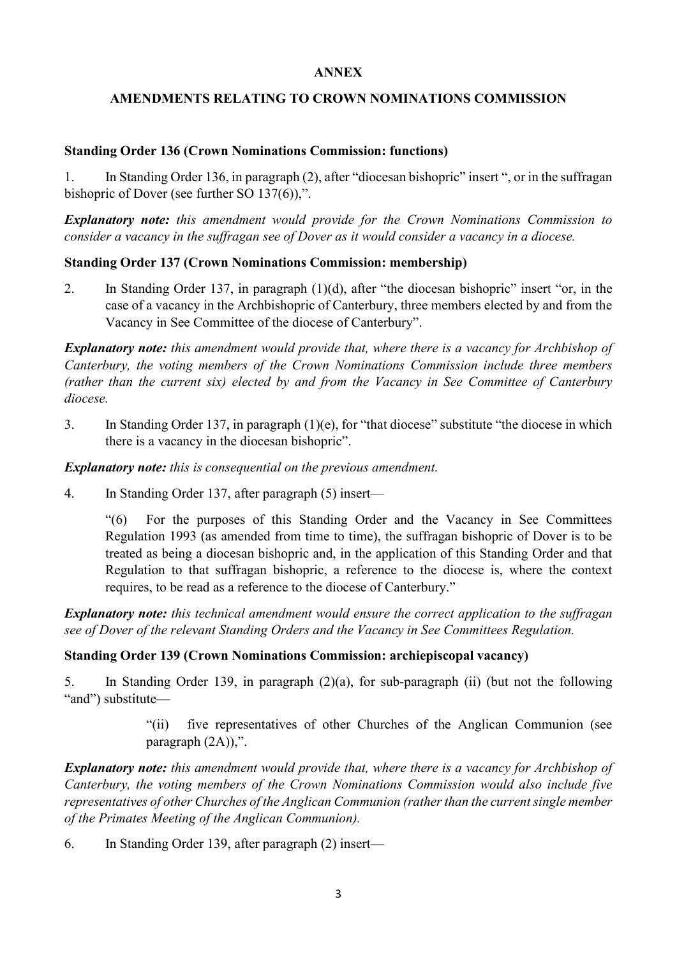### **ANNEX**

# **AMENDMENTS RELATING TO CROWN NOMINATIONS COMMISSION**

### **Standing Order 136 (Crown Nominations Commission: functions)**

1. In Standing Order 136, in paragraph (2), after "diocesan bishopric" insert ", or in the suffragan bishopric of Dover (see further SO 137(6)),".

*Explanatory note: this amendment would provide for the Crown Nominations Commission to consider a vacancy in the suffragan see of Dover as it would consider a vacancy in a diocese.*

## **Standing Order 137 (Crown Nominations Commission: membership)**

2. In Standing Order 137, in paragraph (1)(d), after "the diocesan bishopric" insert "or, in the case of a vacancy in the Archbishopric of Canterbury, three members elected by and from the Vacancy in See Committee of the diocese of Canterbury".

*Explanatory note: this amendment would provide that, where there is a vacancy for Archbishop of Canterbury, the voting members of the Crown Nominations Commission include three members (rather than the current six) elected by and from the Vacancy in See Committee of Canterbury diocese.*

3. In Standing Order 137, in paragraph (1)(e), for "that diocese" substitute "the diocese in which there is a vacancy in the diocesan bishopric".

*Explanatory note: this is consequential on the previous amendment.*

4. In Standing Order 137, after paragraph (5) insert—

"(6) For the purposes of this Standing Order and the Vacancy in See Committees Regulation 1993 (as amended from time to time), the suffragan bishopric of Dover is to be treated as being a diocesan bishopric and, in the application of this Standing Order and that Regulation to that suffragan bishopric, a reference to the diocese is, where the context requires, to be read as a reference to the diocese of Canterbury."

*Explanatory note: this technical amendment would ensure the correct application to the suffragan see of Dover of the relevant Standing Orders and the Vacancy in See Committees Regulation.*

## **Standing Order 139 (Crown Nominations Commission: archiepiscopal vacancy)**

5. In Standing Order 139, in paragraph (2)(a), for sub-paragraph (ii) (but not the following "and") substitute—

> "(ii) five representatives of other Churches of the Anglican Communion (see paragraph (2A)),".

*Explanatory note: this amendment would provide that, where there is a vacancy for Archbishop of Canterbury, the voting members of the Crown Nominations Commission would also include five representatives of other Churches of the Anglican Communion (rather than the current single member of the Primates Meeting of the Anglican Communion).*

6. In Standing Order 139, after paragraph (2) insert—